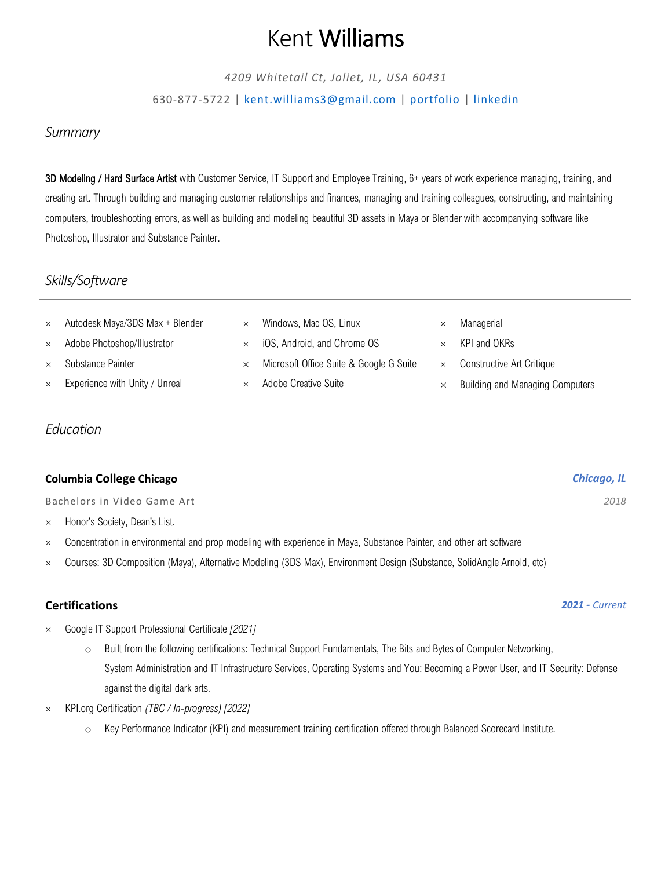# Kent Williams

*4209 Whitetail Ct, Joliet, IL, USA 60431*

### 630-877-5722 | [kent.williams3@gmail.com](mailto:kent.williams3@gmail.com) | [portfolio](http://kwilliamsart.com/) | [linkedin](https://www.linkedin.com/in/kentwilliamsart/)

## *Summary*

3D Modeling / Hard Surface Artist with Customer Service, IT Support and Employee Training, 6+ years of work experience managing, training, and creating art. Through building and managing customer relationships and finances, managing and training colleagues, constructing, and maintaining computers, troubleshooting errors, as well as building and modeling beautiful 3D assets in Maya or Blender with accompanying software like Photoshop, Illustrator and Substance Painter.

# *Skills/Software*

| $\times$ | Autodesk Maya/3DS Max + Blender      | $\times$ | Windows, Mac OS, Linux                  | Managerial                             |
|----------|--------------------------------------|----------|-----------------------------------------|----------------------------------------|
|          | $\times$ Adobe Photoshop/Illustrator | $\times$ | iOS, Android, and Chrome OS             | KPI and OKRs                           |
| $\times$ | Substance Painter                    | $\times$ | Microsoft Office Suite & Google G Suite | Constructive Art Critique              |
| $\times$ | Experience with Unity / Unreal       |          | Adobe Creative Suite                    | <b>Building and Managing Computers</b> |

# *Education*

| <b>Columbia College Chicago</b> | Chicago, IL |
|---------------------------------|-------------|
|---------------------------------|-------------|

Bachelors in Video Game Art *2018*

- $\times$  Honor's Society, Dean's List.
- Concentration in environmental and prop modeling with experience in Maya, Substance Painter, and other art software
- Courses: 3D Composition (Maya), Alternative Modeling (3DS Max), Environment Design (Substance, SolidAngle Arnold, etc)

# **Certifications** *2021 - Current*

- Google IT Support Professional Certificate *[2021]*
	- o Built from the following certifications: Technical Support Fundamentals, The Bits and Bytes of Computer Networking, System Administration and IT Infrastructure Services, Operating Systems and You: Becoming a Power User, and IT Security: Defense against the digital dark arts.
- KPI.org Certification *(TBC / In-progress) [2022]*
	- o Key Performance Indicator (KPI) and measurement training certification offered through Balanced Scorecard Institute.